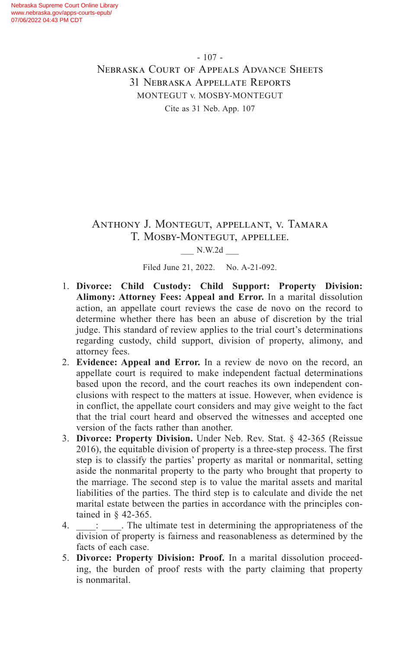## Anthony J. Montegut, appellant, v. Tamara T. Mosby-Montegut, appellee.

#### \_\_\_ N.W.2d \_\_\_

Filed June 21, 2022. No. A-21-092.

- 1. **Divorce: Child Custody: Child Support: Property Division: Alimony: Attorney Fees: Appeal and Error.** In a marital dissolution action, an appellate court reviews the case de novo on the record to determine whether there has been an abuse of discretion by the trial judge. This standard of review applies to the trial court's determinations regarding custody, child support, division of property, alimony, and attorney fees.
- 2. **Evidence: Appeal and Error.** In a review de novo on the record, an appellate court is required to make independent factual determinations based upon the record, and the court reaches its own independent conclusions with respect to the matters at issue. However, when evidence is in conflict, the appellate court considers and may give weight to the fact that the trial court heard and observed the witnesses and accepted one version of the facts rather than another.
- 3. **Divorce: Property Division.** Under Neb. Rev. Stat. § 42-365 (Reissue 2016), the equitable division of property is a three-step process. The first step is to classify the parties' property as marital or nonmarital, setting aside the nonmarital property to the party who brought that property to the marriage. The second step is to value the marital assets and marital liabilities of the parties. The third step is to calculate and divide the net marital estate between the parties in accordance with the principles contained in § 42-365.
- 4.  $\vdots$  The ultimate test in determining the appropriateness of the division of property is fairness and reasonableness as determined by the facts of each case.
- 5. **Divorce: Property Division: Proof.** In a marital dissolution proceeding, the burden of proof rests with the party claiming that property is nonmarital.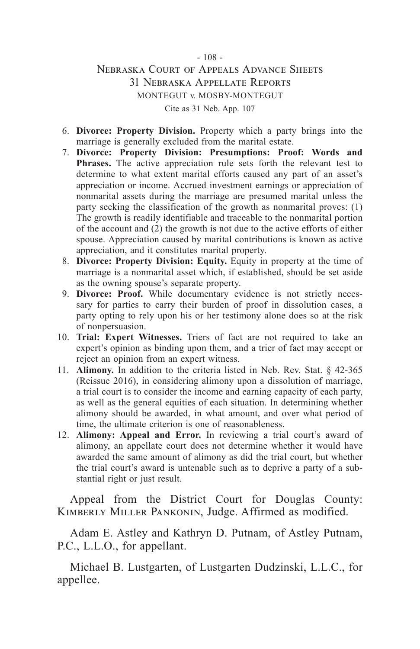- 6. **Divorce: Property Division.** Property which a party brings into the marriage is generally excluded from the marital estate.
- 7. **Divorce: Property Division: Presumptions: Proof: Words and Phrases.** The active appreciation rule sets forth the relevant test to determine to what extent marital efforts caused any part of an asset's appreciation or income. Accrued investment earnings or appreciation of nonmarital assets during the marriage are presumed marital unless the party seeking the classification of the growth as nonmarital proves: (1) The growth is readily identifiable and traceable to the nonmarital portion of the account and (2) the growth is not due to the active efforts of either spouse. Appreciation caused by marital contributions is known as active appreciation, and it constitutes marital property.
- 8. **Divorce: Property Division: Equity.** Equity in property at the time of marriage is a nonmarital asset which, if established, should be set aside as the owning spouse's separate property.
- 9. **Divorce: Proof.** While documentary evidence is not strictly necessary for parties to carry their burden of proof in dissolution cases, a party opting to rely upon his or her testimony alone does so at the risk of nonpersuasion.
- 10. **Trial: Expert Witnesses.** Triers of fact are not required to take an expert's opinion as binding upon them, and a trier of fact may accept or reject an opinion from an expert witness.
- 11. **Alimony.** In addition to the criteria listed in Neb. Rev. Stat. § 42-365 (Reissue 2016), in considering alimony upon a dissolution of marriage, a trial court is to consider the income and earning capacity of each party, as well as the general equities of each situation. In determining whether alimony should be awarded, in what amount, and over what period of time, the ultimate criterion is one of reasonableness.
- 12. **Alimony: Appeal and Error.** In reviewing a trial court's award of alimony, an appellate court does not determine whether it would have awarded the same amount of alimony as did the trial court, but whether the trial court's award is untenable such as to deprive a party of a substantial right or just result.

Appeal from the District Court for Douglas County: Kimberly Miller Pankonin, Judge. Affirmed as modified.

Adam E. Astley and Kathryn D. Putnam, of Astley Putnam, P.C., L.L.O., for appellant.

Michael B. Lustgarten, of Lustgarten Dudzinski, L.L.C., for appellee.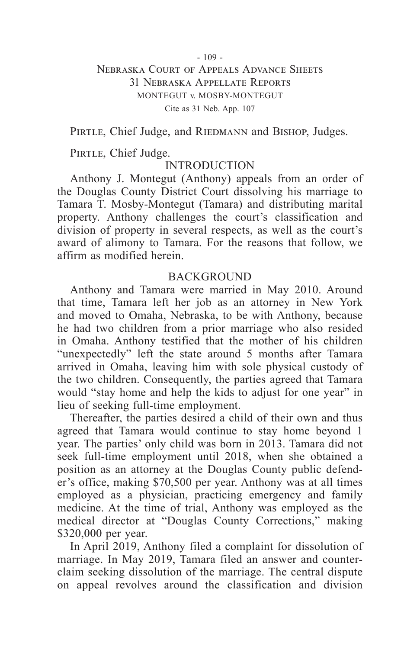PIRTLE, Chief Judge, and RIEDMANN and BISHOP, Judges.

PIRTLE, Chief Judge.

## INTRODUCTION

Anthony J. Montegut (Anthony) appeals from an order of the Douglas County District Court dissolving his marriage to Tamara T. Mosby-Montegut (Tamara) and distributing marital property. Anthony challenges the court's classification and division of property in several respects, as well as the court's award of alimony to Tamara. For the reasons that follow, we affirm as modified herein.

#### **BACKGROUND**

Anthony and Tamara were married in May 2010. Around that time, Tamara left her job as an attorney in New York and moved to Omaha, Nebraska, to be with Anthony, because he had two children from a prior marriage who also resided in Omaha. Anthony testified that the mother of his children "unexpectedly" left the state around 5 months after Tamara arrived in Omaha, leaving him with sole physical custody of the two children. Consequently, the parties agreed that Tamara would "stay home and help the kids to adjust for one year" in lieu of seeking full-time employment.

Thereafter, the parties desired a child of their own and thus agreed that Tamara would continue to stay home beyond 1 year. The parties' only child was born in 2013. Tamara did not seek full-time employment until 2018, when she obtained a position as an attorney at the Douglas County public defender's office, making \$70,500 per year. Anthony was at all times employed as a physician, practicing emergency and family medicine. At the time of trial, Anthony was employed as the medical director at "Douglas County Corrections," making \$320,000 per year.

In April 2019, Anthony filed a complaint for dissolution of marriage. In May 2019, Tamara filed an answer and counterclaim seeking dissolution of the marriage. The central dispute on appeal revolves around the classification and division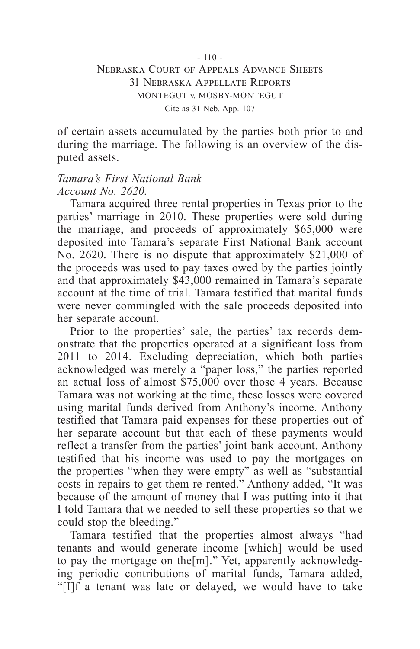of certain assets accumulated by the parties both prior to and during the marriage. The following is an overview of the disputed assets.

## *Tamara's First National Bank Account No. 2620.*

Tamara acquired three rental properties in Texas prior to the parties' marriage in 2010. These properties were sold during the marriage, and proceeds of approximately \$65,000 were deposited into Tamara's separate First National Bank account No. 2620. There is no dispute that approximately \$21,000 of the proceeds was used to pay taxes owed by the parties jointly and that approximately \$43,000 remained in Tamara's separate account at the time of trial. Tamara testified that marital funds were never commingled with the sale proceeds deposited into her separate account.

Prior to the properties' sale, the parties' tax records demonstrate that the properties operated at a significant loss from 2011 to 2014. Excluding depreciation, which both parties acknowledged was merely a "paper loss," the parties reported an actual loss of almost \$75,000 over those 4 years. Because Tamara was not working at the time, these losses were covered using marital funds derived from Anthony's income. Anthony testified that Tamara paid expenses for these properties out of her separate account but that each of these payments would reflect a transfer from the parties' joint bank account. Anthony testified that his income was used to pay the mortgages on the properties "when they were empty" as well as "substantial costs in repairs to get them re-rented." Anthony added, "It was because of the amount of money that I was putting into it that I told Tamara that we needed to sell these properties so that we could stop the bleeding."

Tamara testified that the properties almost always "had tenants and would generate income [which] would be used to pay the mortgage on the[m]." Yet, apparently acknowledging periodic contributions of marital funds, Tamara added, "[I]f a tenant was late or delayed, we would have to take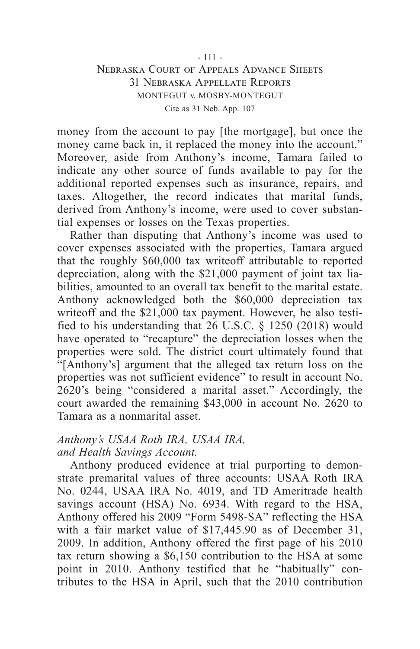money from the account to pay [the mortgage], but once the money came back in, it replaced the money into the account." Moreover, aside from Anthony's income, Tamara failed to indicate any other source of funds available to pay for the additional reported expenses such as insurance, repairs, and taxes. Altogether, the record indicates that marital funds, derived from Anthony's income, were used to cover substantial expenses or losses on the Texas properties.

Rather than disputing that Anthony's income was used to cover expenses associated with the properties, Tamara argued that the roughly \$60,000 tax writeoff attributable to reported depreciation, along with the \$21,000 payment of joint tax liabilities, amounted to an overall tax benefit to the marital estate. Anthony acknowledged both the \$60,000 depreciation tax writeoff and the \$21,000 tax payment. However, he also testified to his understanding that 26 U.S.C. § 1250 (2018) would have operated to "recapture" the depreciation losses when the properties were sold. The district court ultimately found that "[Anthony's] argument that the alleged tax return loss on the properties was not sufficient evidence" to result in account No. 2620's being "considered a marital asset." Accordingly, the court awarded the remaining \$43,000 in account No. 2620 to Tamara as a nonmarital asset.

## *Anthony's USAA Roth IRA, USAA IRA, and Health Savings Account.*

Anthony produced evidence at trial purporting to demonstrate premarital values of three accounts: USAA Roth IRA No. 0244, USAA IRA No. 4019, and TD Ameritrade health savings account (HSA) No. 6934. With regard to the HSA, Anthony offered his 2009 "Form 5498-SA" reflecting the HSA with a fair market value of \$17,445.90 as of December 31, 2009. In addition, Anthony offered the first page of his 2010 tax return showing a \$6,150 contribution to the HSA at some point in 2010. Anthony testified that he "habitually" contributes to the HSA in April, such that the 2010 contribution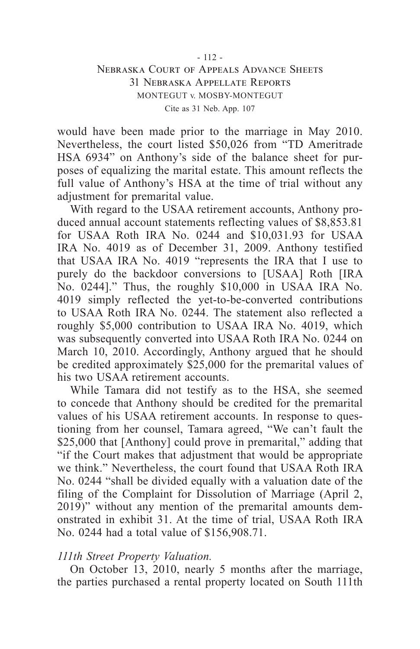would have been made prior to the marriage in May 2010. Nevertheless, the court listed \$50,026 from "TD Ameritrade HSA 6934" on Anthony's side of the balance sheet for purposes of equalizing the marital estate. This amount reflects the full value of Anthony's HSA at the time of trial without any adjustment for premarital value.

With regard to the USAA retirement accounts, Anthony produced annual account statements reflecting values of \$8,853.81 for USAA Roth IRA No. 0244 and \$10,031.93 for USAA IRA No. 4019 as of December 31, 2009. Anthony testified that USAA IRA No. 4019 "represents the IRA that I use to purely do the backdoor conversions to [USAA] Roth [IRA No. 0244]." Thus, the roughly \$10,000 in USAA IRA No. 4019 simply reflected the yet-to-be-converted contributions to USAA Roth IRA No. 0244. The statement also reflected a roughly \$5,000 contribution to USAA IRA No. 4019, which was subsequently converted into USAA Roth IRA No. 0244 on March 10, 2010. Accordingly, Anthony argued that he should be credited approximately \$25,000 for the premarital values of his two USAA retirement accounts.

While Tamara did not testify as to the HSA, she seemed to concede that Anthony should be credited for the premarital values of his USAA retirement accounts. In response to questioning from her counsel, Tamara agreed, "We can't fault the \$25,000 that [Anthony] could prove in premarital," adding that "if the Court makes that adjustment that would be appropriate we think." Nevertheless, the court found that USAA Roth IRA No. 0244 "shall be divided equally with a valuation date of the filing of the Complaint for Dissolution of Marriage (April 2, 2019)" without any mention of the premarital amounts demonstrated in exhibit 31. At the time of trial, USAA Roth IRA No. 0244 had a total value of \$156,908.71.

#### *111th Street Property Valuation.*

On October 13, 2010, nearly 5 months after the marriage, the parties purchased a rental property located on South 111th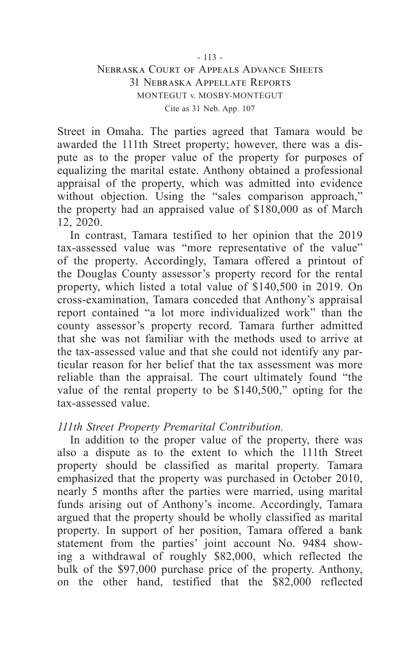Street in Omaha. The parties agreed that Tamara would be awarded the 111th Street property; however, there was a dispute as to the proper value of the property for purposes of equalizing the marital estate. Anthony obtained a professional appraisal of the property, which was admitted into evidence without objection. Using the "sales comparison approach," the property had an appraised value of \$180,000 as of March 12, 2020.

In contrast, Tamara testified to her opinion that the 2019 tax-assessed value was "more representative of the value" of the property. Accordingly, Tamara offered a printout of the Douglas County assessor's property record for the rental property, which listed a total value of \$140,500 in 2019. On cross-examination, Tamara conceded that Anthony's appraisal report contained "a lot more individualized work" than the county assessor's property record. Tamara further admitted that she was not familiar with the methods used to arrive at the tax-assessed value and that she could not identify any particular reason for her belief that the tax assessment was more reliable than the appraisal. The court ultimately found "the value of the rental property to be \$140,500," opting for the tax-assessed value.

## *111th Street Property Premarital Contribution.*

In addition to the proper value of the property, there was also a dispute as to the extent to which the 111th Street property should be classified as marital property. Tamara emphasized that the property was purchased in October 2010, nearly 5 months after the parties were married, using marital funds arising out of Anthony's income. Accordingly, Tamara argued that the property should be wholly classified as marital property. In support of her position, Tamara offered a bank statement from the parties' joint account No. 9484 showing a withdrawal of roughly \$82,000, which reflected the bulk of the \$97,000 purchase price of the property. Anthony, on the other hand, testified that the \$82,000 reflected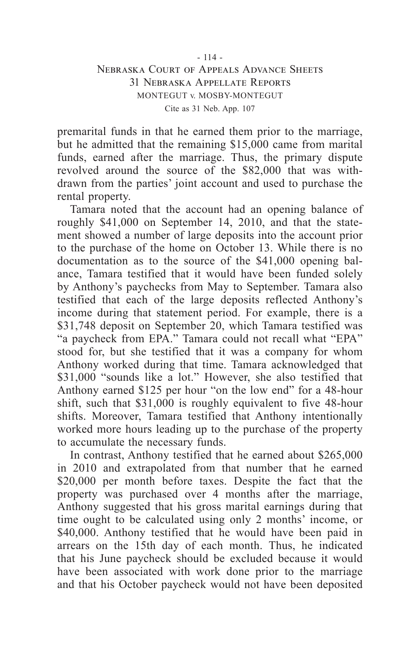premarital funds in that he earned them prior to the marriage, but he admitted that the remaining \$15,000 came from marital funds, earned after the marriage. Thus, the primary dispute revolved around the source of the \$82,000 that was withdrawn from the parties' joint account and used to purchase the rental property.

Tamara noted that the account had an opening balance of roughly \$41,000 on September 14, 2010, and that the statement showed a number of large deposits into the account prior to the purchase of the home on October 13. While there is no documentation as to the source of the \$41,000 opening balance, Tamara testified that it would have been funded solely by Anthony's paychecks from May to September. Tamara also testified that each of the large deposits reflected Anthony's income during that statement period. For example, there is a \$31,748 deposit on September 20, which Tamara testified was "a paycheck from EPA." Tamara could not recall what "EPA" stood for, but she testified that it was a company for whom Anthony worked during that time. Tamara acknowledged that \$31,000 "sounds like a lot." However, she also testified that Anthony earned \$125 per hour "on the low end" for a 48-hour shift, such that \$31,000 is roughly equivalent to five 48-hour shifts. Moreover, Tamara testified that Anthony intentionally worked more hours leading up to the purchase of the property to accumulate the necessary funds.

In contrast, Anthony testified that he earned about \$265,000 in 2010 and extrapolated from that number that he earned \$20,000 per month before taxes. Despite the fact that the property was purchased over 4 months after the marriage, Anthony suggested that his gross marital earnings during that time ought to be calculated using only 2 months' income, or \$40,000. Anthony testified that he would have been paid in arrears on the 15th day of each month. Thus, he indicated that his June paycheck should be excluded because it would have been associated with work done prior to the marriage and that his October paycheck would not have been deposited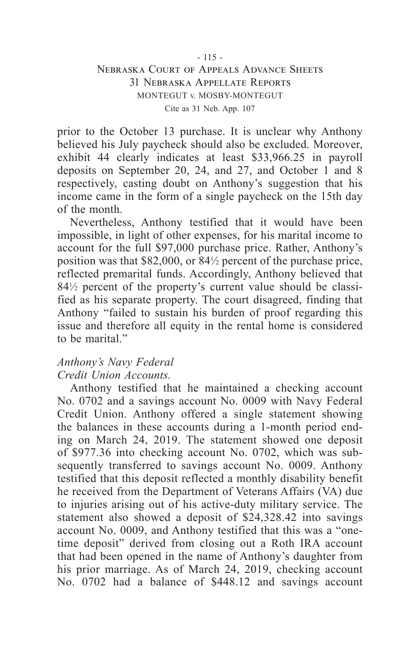prior to the October 13 purchase. It is unclear why Anthony believed his July paycheck should also be excluded. Moreover, exhibit 44 clearly indicates at least \$33,966.25 in payroll deposits on September 20, 24, and 27, and October 1 and 8 respectively, casting doubt on Anthony's suggestion that his income came in the form of a single paycheck on the 15th day of the month.

Nevertheless, Anthony testified that it would have been impossible, in light of other expenses, for his marital income to account for the full \$97,000 purchase price. Rather, Anthony's position was that \$82,000, or 84<sup>1</sup> ⁄2 percent of the purchase price, reflected premarital funds. Accordingly, Anthony believed that 84<sup>1</sup> ⁄2 percent of the property's current value should be classified as his separate property. The court disagreed, finding that Anthony "failed to sustain his burden of proof regarding this issue and therefore all equity in the rental home is considered to be marital."

## *Anthony's Navy Federal*

## *Credit Union Accounts.*

Anthony testified that he maintained a checking account No. 0702 and a savings account No. 0009 with Navy Federal Credit Union. Anthony offered a single statement showing the balances in these accounts during a 1-month period ending on March 24, 2019. The statement showed one deposit of \$977.36 into checking account No. 0702, which was subsequently transferred to savings account No. 0009. Anthony testified that this deposit reflected a monthly disability benefit he received from the Department of Veterans Affairs (VA) due to injuries arising out of his active-duty military service. The statement also showed a deposit of \$24,328.42 into savings account No. 0009, and Anthony testified that this was a "onetime deposit" derived from closing out a Roth IRA account that had been opened in the name of Anthony's daughter from his prior marriage. As of March 24, 2019, checking account No. 0702 had a balance of \$448.12 and savings account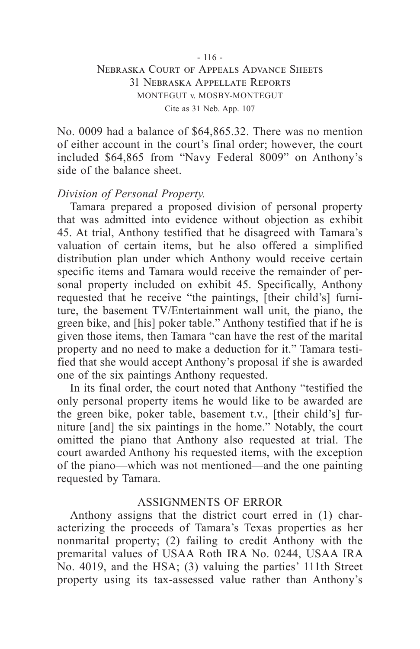No. 0009 had a balance of \$64,865.32. There was no mention of either account in the court's final order; however, the court included \$64,865 from "Navy Federal 8009" on Anthony's side of the balance sheet.

#### *Division of Personal Property.*

Tamara prepared a proposed division of personal property that was admitted into evidence without objection as exhibit 45. At trial, Anthony testified that he disagreed with Tamara's valuation of certain items, but he also offered a simplified distribution plan under which Anthony would receive certain specific items and Tamara would receive the remainder of personal property included on exhibit 45. Specifically, Anthony requested that he receive "the paintings, [their child's] furniture, the basement TV/Entertainment wall unit, the piano, the green bike, and [his] poker table." Anthony testified that if he is given those items, then Tamara "can have the rest of the marital property and no need to make a deduction for it." Tamara testified that she would accept Anthony's proposal if she is awarded one of the six paintings Anthony requested.

In its final order, the court noted that Anthony "testified the only personal property items he would like to be awarded are the green bike, poker table, basement t.v., [their child's] furniture [and] the six paintings in the home." Notably, the court omitted the piano that Anthony also requested at trial. The court awarded Anthony his requested items, with the exception of the piano—which was not mentioned—and the one painting requested by Tamara.

## ASSIGNMENTS OF ERROR

Anthony assigns that the district court erred in (1) characterizing the proceeds of Tamara's Texas properties as her nonmarital property; (2) failing to credit Anthony with the premarital values of USAA Roth IRA No. 0244, USAA IRA No. 4019, and the HSA; (3) valuing the parties' 111th Street property using its tax-assessed value rather than Anthony's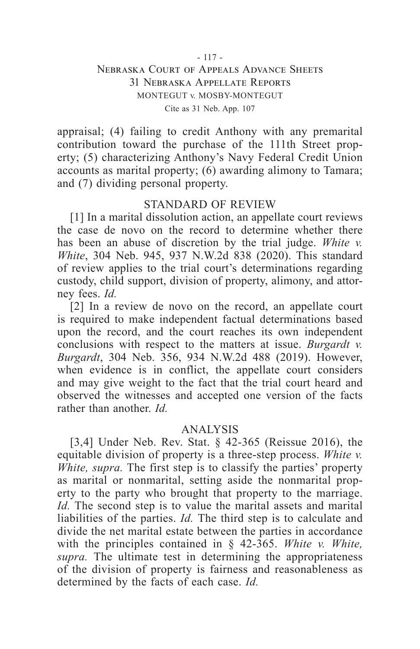appraisal; (4) failing to credit Anthony with any premarital contribution toward the purchase of the 111th Street property; (5) characterizing Anthony's Navy Federal Credit Union accounts as marital property; (6) awarding alimony to Tamara; and (7) dividing personal property.

#### STANDARD OF REVIEW

[1] In a marital dissolution action, an appellate court reviews the case de novo on the record to determine whether there has been an abuse of discretion by the trial judge. *White v. White*, 304 Neb. 945, 937 N.W.2d 838 (2020). This standard of review applies to the trial court's determinations regarding custody, child support, division of property, alimony, and attorney fees. *Id.*

[2] In a review de novo on the record, an appellate court is required to make independent factual determinations based upon the record, and the court reaches its own independent conclusions with respect to the matters at issue. *Burgardt v. Burgardt*, 304 Neb. 356, 934 N.W.2d 488 (2019). However, when evidence is in conflict, the appellate court considers and may give weight to the fact that the trial court heard and observed the witnesses and accepted one version of the facts rather than another. *Id.*

## ANALYSIS

[3,4] Under Neb. Rev. Stat. § 42-365 (Reissue 2016), the equitable division of property is a three-step process. *White v. White, supra.* The first step is to classify the parties' property as marital or nonmarital, setting aside the nonmarital property to the party who brought that property to the marriage. *Id.* The second step is to value the marital assets and marital liabilities of the parties. *Id.* The third step is to calculate and divide the net marital estate between the parties in accordance with the principles contained in § 42-365. *White v. White, supra.* The ultimate test in determining the appropriateness of the division of property is fairness and reasonableness as determined by the facts of each case. *Id.*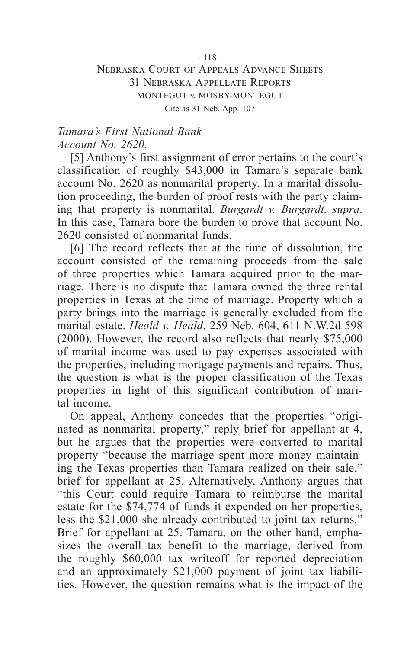## *Tamara's First National Bank Account No. 2620.*

[5] Anthony's first assignment of error pertains to the court's classification of roughly \$43,000 in Tamara's separate bank account No. 2620 as nonmarital property. In a marital dissolution proceeding, the burden of proof rests with the party claiming that property is nonmarital. *Burgardt v. Burgardt, supra*. In this case, Tamara bore the burden to prove that account No. 2620 consisted of nonmarital funds.

[6] The record reflects that at the time of dissolution, the account consisted of the remaining proceeds from the sale of three properties which Tamara acquired prior to the marriage. There is no dispute that Tamara owned the three rental properties in Texas at the time of marriage. Property which a party brings into the marriage is generally excluded from the marital estate. *Heald v. Heald*, 259 Neb. 604, 611 N.W.2d 598 (2000). However, the record also reflects that nearly \$75,000 of marital income was used to pay expenses associated with the properties, including mortgage payments and repairs. Thus, the question is what is the proper classification of the Texas properties in light of this significant contribution of marital income.

On appeal, Anthony concedes that the properties "originated as nonmarital property," reply brief for appellant at 4, but he argues that the properties were converted to marital property "because the marriage spent more money maintaining the Texas properties than Tamara realized on their sale," brief for appellant at 25. Alternatively, Anthony argues that "this Court could require Tamara to reimburse the marital estate for the \$74,774 of funds it expended on her properties, less the \$21,000 she already contributed to joint tax returns." Brief for appellant at 25. Tamara, on the other hand, emphasizes the overall tax benefit to the marriage, derived from the roughly \$60,000 tax writeoff for reported depreciation and an approximately \$21,000 payment of joint tax liabilities. However, the question remains what is the impact of the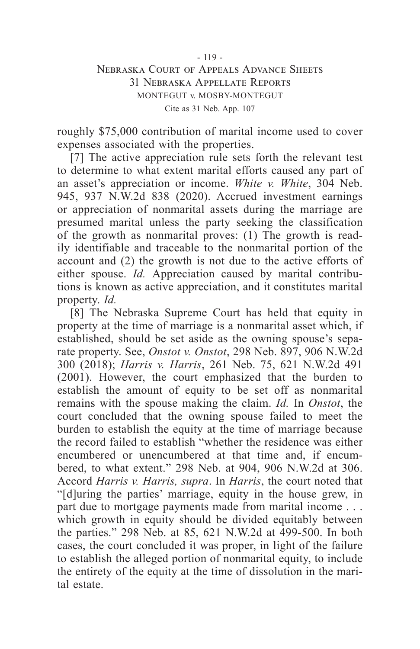roughly \$75,000 contribution of marital income used to cover expenses associated with the properties.

[7] The active appreciation rule sets forth the relevant test to determine to what extent marital efforts caused any part of an asset's appreciation or income. *White v. White*, 304 Neb. 945, 937 N.W.2d 838 (2020). Accrued investment earnings or appreciation of nonmarital assets during the marriage are presumed marital unless the party seeking the classification of the growth as nonmarital proves: (1) The growth is readily identifiable and traceable to the nonmarital portion of the account and (2) the growth is not due to the active efforts of either spouse. *Id.* Appreciation caused by marital contributions is known as active appreciation, and it constitutes marital property. *Id.*

[8] The Nebraska Supreme Court has held that equity in property at the time of marriage is a nonmarital asset which, if established, should be set aside as the owning spouse's separate property. See, *Onstot v. Onstot*, 298 Neb. 897, 906 N.W.2d 300 (2018); *Harris v. Harris*, 261 Neb. 75, 621 N.W.2d 491 (2001). However, the court emphasized that the burden to establish the amount of equity to be set off as nonmarital remains with the spouse making the claim. *Id.* In *Onstot*, the court concluded that the owning spouse failed to meet the burden to establish the equity at the time of marriage because the record failed to establish "whether the residence was either encumbered or unencumbered at that time and, if encumbered, to what extent." 298 Neb. at 904, 906 N.W.2d at 306. Accord *Harris v. Harris, supra*. In *Harris*, the court noted that "[d]uring the parties' marriage, equity in the house grew, in part due to mortgage payments made from marital income . . . which growth in equity should be divided equitably between the parties." 298 Neb. at 85, 621 N.W.2d at 499-500. In both cases, the court concluded it was proper, in light of the failure to establish the alleged portion of nonmarital equity, to include the entirety of the equity at the time of dissolution in the marital estate.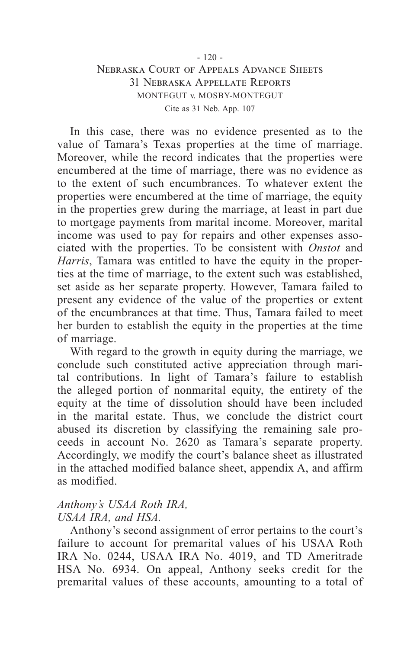In this case, there was no evidence presented as to the value of Tamara's Texas properties at the time of marriage. Moreover, while the record indicates that the properties were encumbered at the time of marriage, there was no evidence as to the extent of such encumbrances. To whatever extent the properties were encumbered at the time of marriage, the equity in the properties grew during the marriage, at least in part due to mortgage payments from marital income. Moreover, marital income was used to pay for repairs and other expenses associated with the properties. To be consistent with *Onstot* and *Harris*, Tamara was entitled to have the equity in the properties at the time of marriage, to the extent such was established, set aside as her separate property. However, Tamara failed to present any evidence of the value of the properties or extent of the encumbrances at that time. Thus, Tamara failed to meet her burden to establish the equity in the properties at the time of marriage.

With regard to the growth in equity during the marriage, we conclude such constituted active appreciation through marital contributions. In light of Tamara's failure to establish the alleged portion of nonmarital equity, the entirety of the equity at the time of dissolution should have been included in the marital estate. Thus, we conclude the district court abused its discretion by classifying the remaining sale proceeds in account No. 2620 as Tamara's separate property. Accordingly, we modify the court's balance sheet as illustrated in the attached modified balance sheet, appendix A, and affirm as modified.

## *Anthony's USAA Roth IRA, USAA IRA, and HSA.*

Anthony's second assignment of error pertains to the court's failure to account for premarital values of his USAA Roth IRA No. 0244, USAA IRA No. 4019, and TD Ameritrade HSA No. 6934. On appeal, Anthony seeks credit for the premarital values of these accounts, amounting to a total of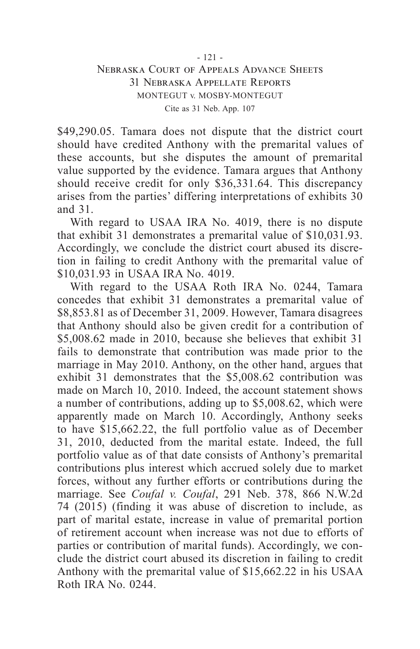\$49,290.05. Tamara does not dispute that the district court should have credited Anthony with the premarital values of these accounts, but she disputes the amount of premarital value supported by the evidence. Tamara argues that Anthony should receive credit for only \$36,331.64. This discrepancy arises from the parties' differing interpretations of exhibits 30 and 31.

With regard to USAA IRA No. 4019, there is no dispute that exhibit 31 demonstrates a premarital value of \$10,031.93. Accordingly, we conclude the district court abused its discretion in failing to credit Anthony with the premarital value of \$10,031.93 in USAA IRA No. 4019.

With regard to the USAA Roth IRA No. 0244, Tamara concedes that exhibit 31 demonstrates a premarital value of \$8,853.81 as of December 31, 2009. However, Tamara disagrees that Anthony should also be given credit for a contribution of \$5,008.62 made in 2010, because she believes that exhibit 31 fails to demonstrate that contribution was made prior to the marriage in May 2010. Anthony, on the other hand, argues that exhibit 31 demonstrates that the \$5,008.62 contribution was made on March 10, 2010. Indeed, the account statement shows a number of contributions, adding up to \$5,008.62, which were apparently made on March 10. Accordingly, Anthony seeks to have \$15,662.22, the full portfolio value as of December 31, 2010, deducted from the marital estate. Indeed, the full portfolio value as of that date consists of Anthony's premarital contributions plus interest which accrued solely due to market forces, without any further efforts or contributions during the marriage. See *Coufal v. Coufal*, 291 Neb. 378, 866 N.W.2d 74 (2015) (finding it was abuse of discretion to include, as part of marital estate, increase in value of premarital portion of retirement account when increase was not due to efforts of parties or contribution of marital funds). Accordingly, we conclude the district court abused its discretion in failing to credit Anthony with the premarital value of \$15,662.22 in his USAA Roth IRA No. 0244.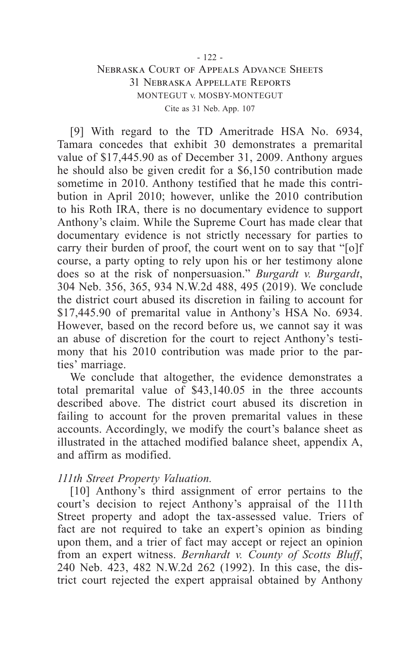[9] With regard to the TD Ameritrade HSA No. 6934, Tamara concedes that exhibit 30 demonstrates a premarital value of \$17,445.90 as of December 31, 2009. Anthony argues he should also be given credit for a \$6,150 contribution made sometime in 2010. Anthony testified that he made this contribution in April 2010; however, unlike the 2010 contribution to his Roth IRA, there is no documentary evidence to support Anthony's claim. While the Supreme Court has made clear that documentary evidence is not strictly necessary for parties to carry their burden of proof, the court went on to say that "[o]f course, a party opting to rely upon his or her testimony alone does so at the risk of nonpersuasion." *Burgardt v. Burgardt*, 304 Neb. 356, 365, 934 N.W.2d 488, 495 (2019). We conclude the district court abused its discretion in failing to account for \$17,445.90 of premarital value in Anthony's HSA No. 6934. However, based on the record before us, we cannot say it was an abuse of discretion for the court to reject Anthony's testimony that his 2010 contribution was made prior to the parties' marriage.

We conclude that altogether, the evidence demonstrates a total premarital value of \$43,140.05 in the three accounts described above. The district court abused its discretion in failing to account for the proven premarital values in these accounts. Accordingly, we modify the court's balance sheet as illustrated in the attached modified balance sheet, appendix A, and affirm as modified.

## *111th Street Property Valuation.*

[10] Anthony's third assignment of error pertains to the court's decision to reject Anthony's appraisal of the 111th Street property and adopt the tax-assessed value. Triers of fact are not required to take an expert's opinion as binding upon them, and a trier of fact may accept or reject an opinion from an expert witness. *Bernhardt v. County of Scotts Bluff*, 240 Neb. 423, 482 N.W.2d 262 (1992). In this case, the district court rejected the expert appraisal obtained by Anthony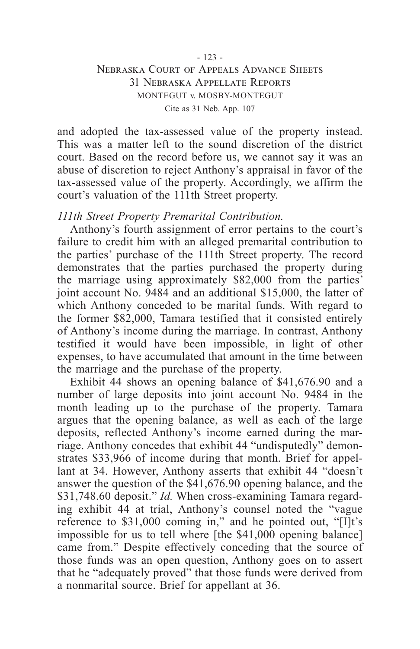and adopted the tax-assessed value of the property instead. This was a matter left to the sound discretion of the district court. Based on the record before us, we cannot say it was an abuse of discretion to reject Anthony's appraisal in favor of the tax-assessed value of the property. Accordingly, we affirm the court's valuation of the 111th Street property.

#### *111th Street Property Premarital Contribution.*

Anthony's fourth assignment of error pertains to the court's failure to credit him with an alleged premarital contribution to the parties' purchase of the 111th Street property. The record demonstrates that the parties purchased the property during the marriage using approximately \$82,000 from the parties' joint account No. 9484 and an additional \$15,000, the latter of which Anthony conceded to be marital funds. With regard to the former \$82,000, Tamara testified that it consisted entirely of Anthony's income during the marriage. In contrast, Anthony testified it would have been impossible, in light of other expenses, to have accumulated that amount in the time between the marriage and the purchase of the property.

Exhibit 44 shows an opening balance of \$41,676.90 and a number of large deposits into joint account No. 9484 in the month leading up to the purchase of the property. Tamara argues that the opening balance, as well as each of the large deposits, reflected Anthony's income earned during the marriage. Anthony concedes that exhibit 44 "undisputedly" demonstrates \$33,966 of income during that month. Brief for appellant at 34. However, Anthony asserts that exhibit 44 "doesn't answer the question of the \$41,676.90 opening balance, and the \$31,748.60 deposit." *Id.* When cross-examining Tamara regarding exhibit 44 at trial, Anthony's counsel noted the "vague reference to \$31,000 coming in," and he pointed out, "[I]t's impossible for us to tell where [the \$41,000 opening balance] came from." Despite effectively conceding that the source of those funds was an open question, Anthony goes on to assert that he "adequately proved" that those funds were derived from a nonmarital source. Brief for appellant at 36.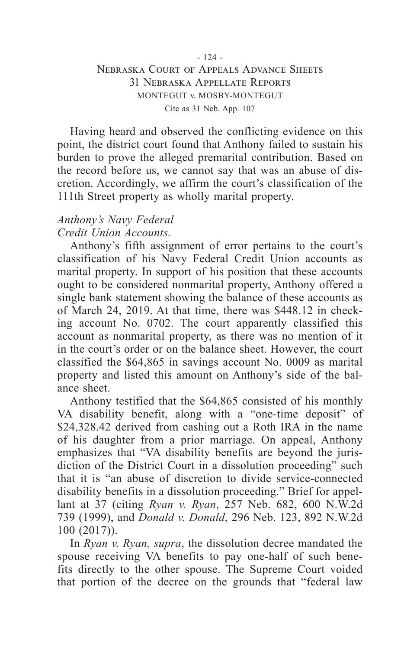Having heard and observed the conflicting evidence on this point, the district court found that Anthony failed to sustain his burden to prove the alleged premarital contribution. Based on the record before us, we cannot say that was an abuse of discretion. Accordingly, we affirm the court's classification of the 111th Street property as wholly marital property.

## *Anthony's Navy Federal Credit Union Accounts.*

Anthony's fifth assignment of error pertains to the court's classification of his Navy Federal Credit Union accounts as marital property. In support of his position that these accounts ought to be considered nonmarital property, Anthony offered a single bank statement showing the balance of these accounts as of March 24, 2019. At that time, there was \$448.12 in checking account No. 0702. The court apparently classified this account as nonmarital property, as there was no mention of it in the court's order or on the balance sheet. However, the court classified the \$64,865 in savings account No. 0009 as marital property and listed this amount on Anthony's side of the balance sheet.

Anthony testified that the \$64,865 consisted of his monthly VA disability benefit, along with a "one-time deposit" of \$24,328.42 derived from cashing out a Roth IRA in the name of his daughter from a prior marriage. On appeal, Anthony emphasizes that "VA disability benefits are beyond the jurisdiction of the District Court in a dissolution proceeding" such that it is "an abuse of discretion to divide service-connected disability benefits in a dissolution proceeding." Brief for appellant at 37 (citing *Ryan v. Ryan*, 257 Neb. 682, 600 N.W.2d 739 (1999), and *Donald v. Donald*, 296 Neb. 123, 892 N.W.2d 100 (2017)).

In *Ryan v. Ryan, supra*, the dissolution decree mandated the spouse receiving VA benefits to pay one-half of such benefits directly to the other spouse. The Supreme Court voided that portion of the decree on the grounds that "federal law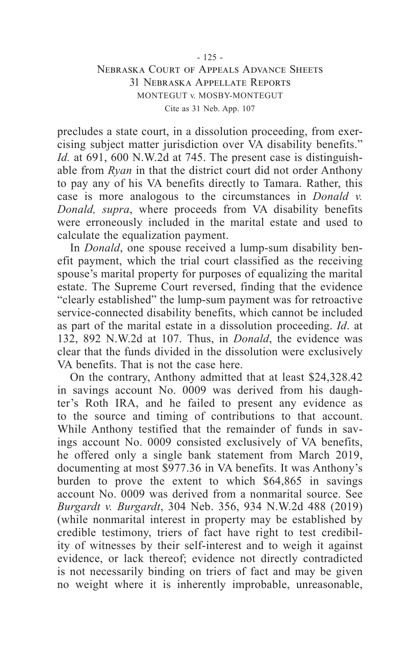precludes a state court, in a dissolution proceeding, from exercising subject matter jurisdiction over VA disability benefits." *Id.* at 691, 600 N.W.2d at 745. The present case is distinguishable from *Ryan* in that the district court did not order Anthony to pay any of his VA benefits directly to Tamara. Rather, this case is more analogous to the circumstances in *Donald v. Donald, supra*, where proceeds from VA disability benefits were erroneously included in the marital estate and used to calculate the equalization payment.

In *Donald*, one spouse received a lump-sum disability benefit payment, which the trial court classified as the receiving spouse's marital property for purposes of equalizing the marital estate. The Supreme Court reversed, finding that the evidence "clearly established" the lump-sum payment was for retroactive service-connected disability benefits, which cannot be included as part of the marital estate in a dissolution proceeding. *Id*. at 132, 892 N.W.2d at 107. Thus, in *Donald*, the evidence was clear that the funds divided in the dissolution were exclusively VA benefits. That is not the case here.

On the contrary, Anthony admitted that at least \$24,328.42 in savings account No. 0009 was derived from his daughter's Roth IRA, and he failed to present any evidence as to the source and timing of contributions to that account. While Anthony testified that the remainder of funds in savings account No. 0009 consisted exclusively of VA benefits, he offered only a single bank statement from March 2019, documenting at most \$977.36 in VA benefits. It was Anthony's burden to prove the extent to which \$64,865 in savings account No. 0009 was derived from a nonmarital source. See *Burgardt v. Burgardt*, 304 Neb. 356, 934 N.W.2d 488 (2019) (while nonmarital interest in property may be established by credible testimony, triers of fact have right to test credibility of witnesses by their self-interest and to weigh it against evidence, or lack thereof; evidence not directly contradicted is not necessarily binding on triers of fact and may be given no weight where it is inherently improbable, unreasonable,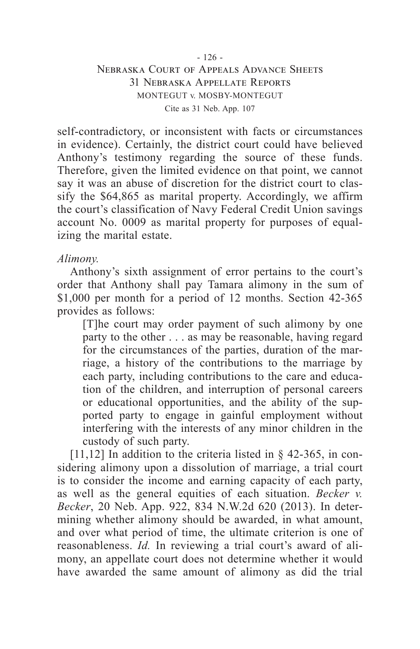self-contradictory, or inconsistent with facts or circumstances in evidence). Certainly, the district court could have believed Anthony's testimony regarding the source of these funds. Therefore, given the limited evidence on that point, we cannot say it was an abuse of discretion for the district court to classify the \$64,865 as marital property. Accordingly, we affirm the court's classification of Navy Federal Credit Union savings account No. 0009 as marital property for purposes of equalizing the marital estate.

## *Alimony.*

Anthony's sixth assignment of error pertains to the court's order that Anthony shall pay Tamara alimony in the sum of \$1,000 per month for a period of 12 months. Section 42-365 provides as follows:

[T]he court may order payment of such alimony by one party to the other . . . as may be reasonable, having regard for the circumstances of the parties, duration of the marriage, a history of the contributions to the marriage by each party, including contributions to the care and education of the children, and interruption of personal careers or educational opportunities, and the ability of the supported party to engage in gainful employment without interfering with the interests of any minor children in the custody of such party.

[11,12] In addition to the criteria listed in  $\S$  42-365, in considering alimony upon a dissolution of marriage, a trial court is to consider the income and earning capacity of each party, as well as the general equities of each situation. *Becker v. Becker*, 20 Neb. App. 922, 834 N.W.2d 620 (2013). In determining whether alimony should be awarded, in what amount, and over what period of time, the ultimate criterion is one of reasonableness. *Id.* In reviewing a trial court's award of alimony, an appellate court does not determine whether it would have awarded the same amount of alimony as did the trial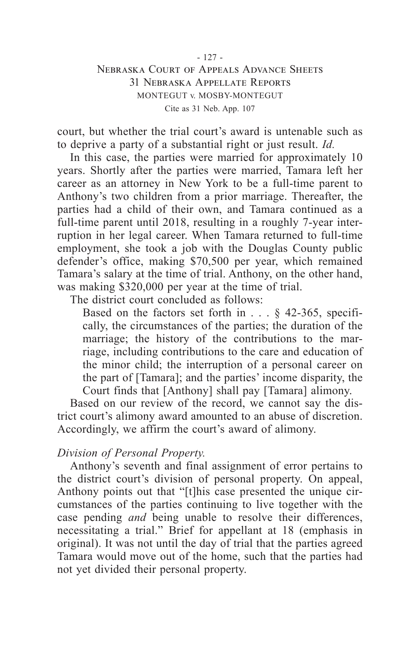court, but whether the trial court's award is untenable such as to deprive a party of a substantial right or just result. *Id.*

In this case, the parties were married for approximately 10 years. Shortly after the parties were married, Tamara left her career as an attorney in New York to be a full-time parent to Anthony's two children from a prior marriage. Thereafter, the parties had a child of their own, and Tamara continued as a full-time parent until 2018, resulting in a roughly 7-year interruption in her legal career. When Tamara returned to full-time employment, she took a job with the Douglas County public defender's office, making \$70,500 per year, which remained Tamara's salary at the time of trial. Anthony, on the other hand, was making \$320,000 per year at the time of trial.

The district court concluded as follows:

Based on the factors set forth in . . . § 42-365, specifically, the circumstances of the parties; the duration of the marriage; the history of the contributions to the marriage, including contributions to the care and education of the minor child; the interruption of a personal career on the part of [Tamara]; and the parties' income disparity, the Court finds that [Anthony] shall pay [Tamara] alimony.

Based on our review of the record, we cannot say the district court's alimony award amounted to an abuse of discretion. Accordingly, we affirm the court's award of alimony.

## *Division of Personal Property.*

Anthony's seventh and final assignment of error pertains to the district court's division of personal property. On appeal, Anthony points out that "[t]his case presented the unique circumstances of the parties continuing to live together with the case pending *and* being unable to resolve their differences, necessitating a trial." Brief for appellant at 18 (emphasis in original). It was not until the day of trial that the parties agreed Tamara would move out of the home, such that the parties had not yet divided their personal property.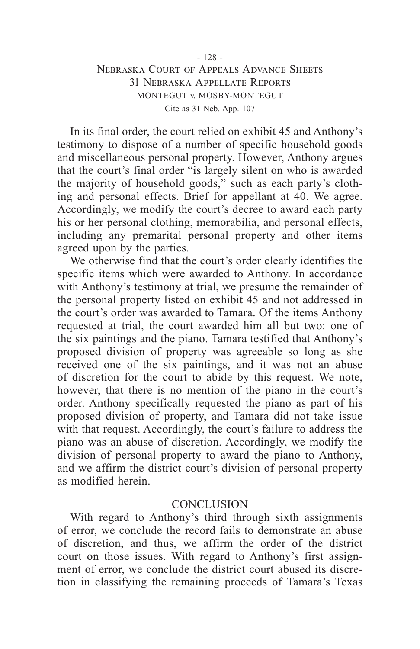In its final order, the court relied on exhibit 45 and Anthony's testimony to dispose of a number of specific household goods and miscellaneous personal property. However, Anthony argues that the court's final order "is largely silent on who is awarded the majority of household goods," such as each party's clothing and personal effects. Brief for appellant at 40. We agree. Accordingly, we modify the court's decree to award each party his or her personal clothing, memorabilia, and personal effects, including any premarital personal property and other items agreed upon by the parties.

We otherwise find that the court's order clearly identifies the specific items which were awarded to Anthony. In accordance with Anthony's testimony at trial, we presume the remainder of the personal property listed on exhibit 45 and not addressed in the court's order was awarded to Tamara. Of the items Anthony requested at trial, the court awarded him all but two: one of the six paintings and the piano. Tamara testified that Anthony's proposed division of property was agreeable so long as she received one of the six paintings, and it was not an abuse of discretion for the court to abide by this request. We note, however, that there is no mention of the piano in the court's order. Anthony specifically requested the piano as part of his proposed division of property, and Tamara did not take issue with that request. Accordingly, the court's failure to address the piano was an abuse of discretion. Accordingly, we modify the division of personal property to award the piano to Anthony, and we affirm the district court's division of personal property as modified herein.

#### **CONCLUSION**

With regard to Anthony's third through sixth assignments of error, we conclude the record fails to demonstrate an abuse of discretion, and thus, we affirm the order of the district court on those issues. With regard to Anthony's first assignment of error, we conclude the district court abused its discretion in classifying the remaining proceeds of Tamara's Texas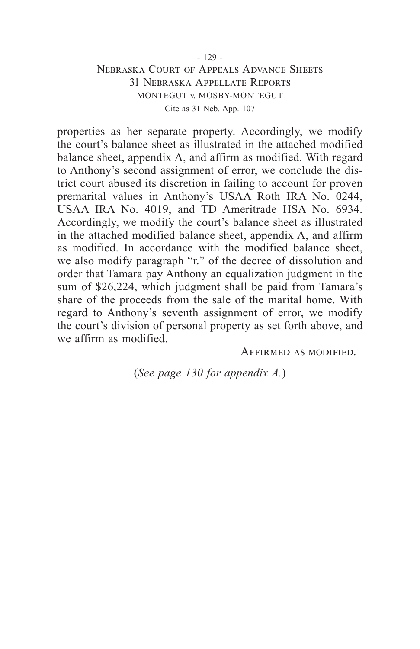properties as her separate property. Accordingly, we modify the court's balance sheet as illustrated in the attached modified balance sheet, appendix A, and affirm as modified. With regard to Anthony's second assignment of error, we conclude the district court abused its discretion in failing to account for proven premarital values in Anthony's USAA Roth IRA No. 0244, USAA IRA No. 4019, and TD Ameritrade HSA No. 6934. Accordingly, we modify the court's balance sheet as illustrated in the attached modified balance sheet, appendix A, and affirm as modified. In accordance with the modified balance sheet, we also modify paragraph "r." of the decree of dissolution and order that Tamara pay Anthony an equalization judgment in the sum of \$26,224, which judgment shall be paid from Tamara's share of the proceeds from the sale of the marital home. With regard to Anthony's seventh assignment of error, we modify the court's division of personal property as set forth above, and we affirm as modified.

Affirmed as modified.

(*See page 130 for appendix A.*)